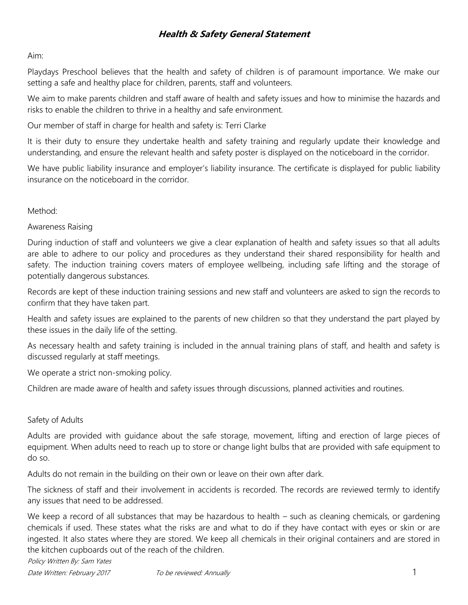## Aim:

Playdays Preschool believes that the health and safety of children is of paramount importance. We make our setting a safe and healthy place for children, parents, staff and volunteers.

We aim to make parents children and staff aware of health and safety issues and how to minimise the hazards and risks to enable the children to thrive in a healthy and safe environment.

Our member of staff in charge for health and safety is: Terri Clarke

It is their duty to ensure they undertake health and safety training and regularly update their knowledge and understanding, and ensure the relevant health and safety poster is displayed on the noticeboard in the corridor.

We have public liability insurance and employer's liability insurance. The certificate is displayed for public liability insurance on the noticeboard in the corridor.

Method:

Awareness Raising

During induction of staff and volunteers we give a clear explanation of health and safety issues so that all adults are able to adhere to our policy and procedures as they understand their shared responsibility for health and safety. The induction training covers maters of employee wellbeing, including safe lifting and the storage of potentially dangerous substances.

Records are kept of these induction training sessions and new staff and volunteers are asked to sign the records to confirm that they have taken part.

Health and safety issues are explained to the parents of new children so that they understand the part played by these issues in the daily life of the setting.

As necessary health and safety training is included in the annual training plans of staff, and health and safety is discussed regularly at staff meetings.

We operate a strict non-smoking policy.

Children are made aware of health and safety issues through discussions, planned activities and routines.

## Safety of Adults

Adults are provided with guidance about the safe storage, movement, lifting and erection of large pieces of equipment. When adults need to reach up to store or change light bulbs that are provided with safe equipment to do so.

Adults do not remain in the building on their own or leave on their own after dark.

The sickness of staff and their involvement in accidents is recorded. The records are reviewed termly to identify any issues that need to be addressed.

We keep a record of all substances that may be hazardous to health – such as cleaning chemicals, or gardening chemicals if used. These states what the risks are and what to do if they have contact with eyes or skin or are ingested. It also states where they are stored. We keep all chemicals in their original containers and are stored in the kitchen cupboards out of the reach of the children.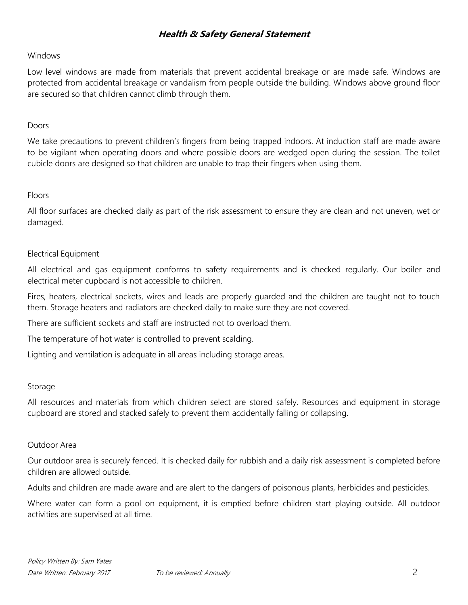### Windows

Low level windows are made from materials that prevent accidental breakage or are made safe. Windows are protected from accidental breakage or vandalism from people outside the building. Windows above ground floor are secured so that children cannot climb through them.

### Doors

We take precautions to prevent children's fingers from being trapped indoors. At induction staff are made aware to be vigilant when operating doors and where possible doors are wedged open during the session. The toilet cubicle doors are designed so that children are unable to trap their fingers when using them.

### Floors

All floor surfaces are checked daily as part of the risk assessment to ensure they are clean and not uneven, wet or damaged.

## Electrical Equipment

All electrical and gas equipment conforms to safety requirements and is checked regularly. Our boiler and electrical meter cupboard is not accessible to children.

Fires, heaters, electrical sockets, wires and leads are properly guarded and the children are taught not to touch them. Storage heaters and radiators are checked daily to make sure they are not covered.

There are sufficient sockets and staff are instructed not to overload them.

The temperature of hot water is controlled to prevent scalding.

Lighting and ventilation is adequate in all areas including storage areas.

#### Storage

All resources and materials from which children select are stored safely. Resources and equipment in storage cupboard are stored and stacked safely to prevent them accidentally falling or collapsing.

#### Outdoor Area

Our outdoor area is securely fenced. It is checked daily for rubbish and a daily risk assessment is completed before children are allowed outside.

Adults and children are made aware and are alert to the dangers of poisonous plants, herbicides and pesticides.

Where water can form a pool on equipment, it is emptied before children start playing outside. All outdoor activities are supervised at all time.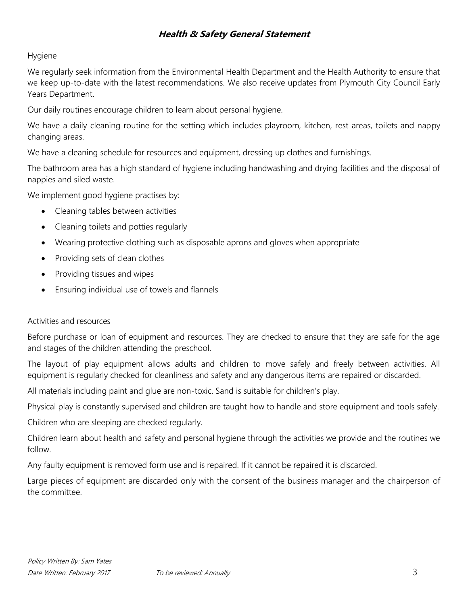## Hygiene

We regularly seek information from the Environmental Health Department and the Health Authority to ensure that we keep up-to-date with the latest recommendations. We also receive updates from Plymouth City Council Early Years Department.

Our daily routines encourage children to learn about personal hygiene.

We have a daily cleaning routine for the setting which includes playroom, kitchen, rest areas, toilets and nappy changing areas.

We have a cleaning schedule for resources and equipment, dressing up clothes and furnishings.

The bathroom area has a high standard of hygiene including handwashing and drying facilities and the disposal of nappies and siled waste.

We implement good hygiene practises by:

- Cleaning tables between activities
- Cleaning toilets and potties regularly
- Wearing protective clothing such as disposable aprons and gloves when appropriate
- Providing sets of clean clothes
- Providing tissues and wipes
- Ensuring individual use of towels and flannels

#### Activities and resources

Before purchase or loan of equipment and resources. They are checked to ensure that they are safe for the age and stages of the children attending the preschool.

The layout of play equipment allows adults and children to move safely and freely between activities. All equipment is regularly checked for cleanliness and safety and any dangerous items are repaired or discarded.

All materials including paint and glue are non-toxic. Sand is suitable for children's play.

Physical play is constantly supervised and children are taught how to handle and store equipment and tools safely.

Children who are sleeping are checked regularly.

Children learn about health and safety and personal hygiene through the activities we provide and the routines we follow.

Any faulty equipment is removed form use and is repaired. If it cannot be repaired it is discarded.

Large pieces of equipment are discarded only with the consent of the business manager and the chairperson of the committee.